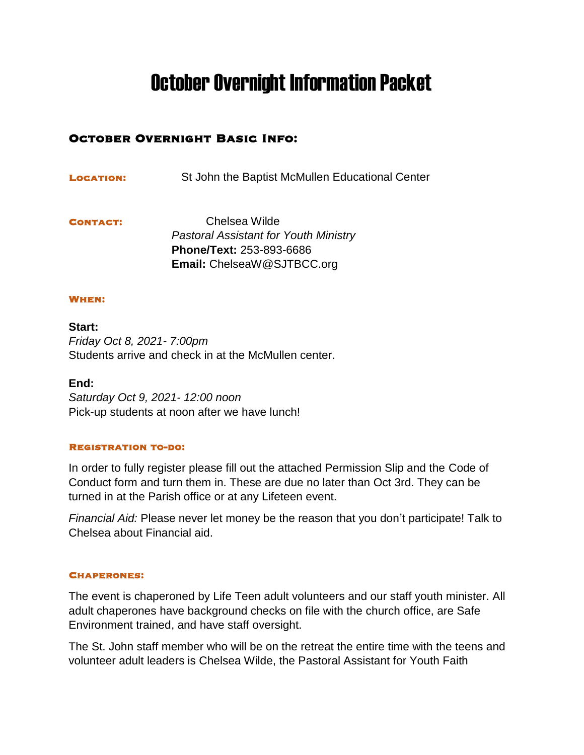# October Overnight Information Packet

# October Overnight Basic Info:

Location:St John the Baptist McMullen Educational Center

Contact: Chelsea Wilde *Pastoral Assistant for Youth Ministry* **Phone/Text:** 253-893-6686 **Email:** ChelseaW@SJTBCC.org

#### When:

**Start:**  *Friday Oct 8, 2021- 7:00pm* Students arrive and check in at the McMullen center.

**End:**

*Saturday Oct 9, 2021- 12:00 noon* Pick-up students at noon after we have lunch!

#### Registration to-do:

In order to fully register please fill out the attached Permission Slip and the Code of Conduct form and turn them in. These are due no later than Oct 3rd. They can be turned in at the Parish office or at any Lifeteen event.

*Financial Aid:* Please never let money be the reason that you don't participate! Talk to Chelsea about Financial aid.

#### Chaperones:

The event is chaperoned by Life Teen adult volunteers and our staff youth minister. All adult chaperones have background checks on file with the church office, are Safe Environment trained, and have staff oversight.

The St. John staff member who will be on the retreat the entire time with the teens and volunteer adult leaders is Chelsea Wilde, the Pastoral Assistant for Youth Faith